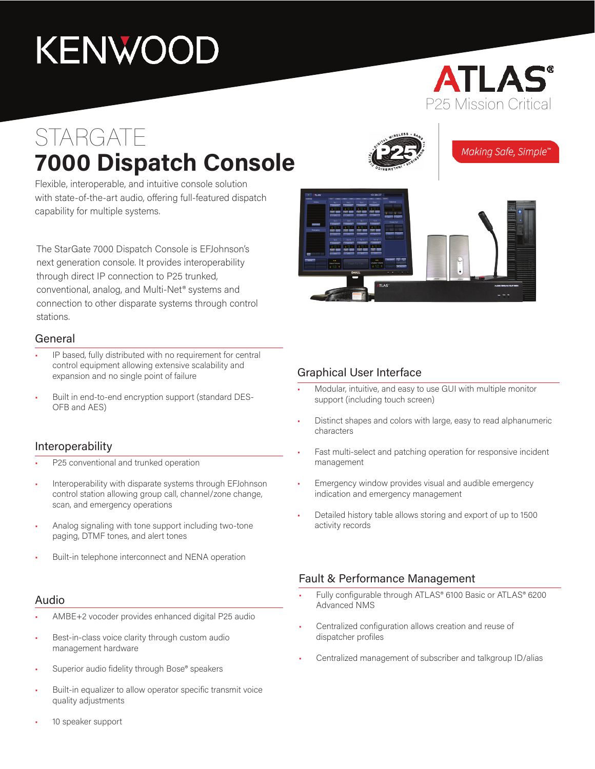# KENWOOD

### **ATLAS** P25 Mission Critical

## STARGATE **7000 Dispatch Console**



Making Safe, Simple'

Flexible, interoperable, and intuitive console solution with state-of-the-art audio, offering full-featured dispatch capability for multiple systems.

The StarGate 7000 Dispatch Console is EFJohnson's next generation console. It provides interoperability through direct IP connection to P25 trunked, conventional, analog, and Multi-Net® systems and connection to other disparate systems through control stations.

#### General

- IP based, fully distributed with no requirement for central control equipment allowing extensive scalability and expansion and no single point of failure
- Built in end-to-end encryption support (standard DES-OFB and AES)

#### Interoperability

- P25 conventional and trunked operation
- Interoperability with disparate systems through EFJohnson control station allowing group call, channel/zone change, scan, and emergency operations
- Analog signaling with tone support including two-tone paging, DTMF tones, and alert tones
- Built-in telephone interconnect and NENA operation

#### Audio

- AMBE+2 vocoder provides enhanced digital P25 audio
- Best-in-class voice clarity through custom audio management hardware
- Superior audio fidelity through Bose® speakers
- Built-in equalizer to allow operator specific transmit voice quality adjustments
- 10 speaker support

#### Graphical User Interface

- Modular, intuitive, and easy to use GUI with multiple monitor support (including touch screen)
- Distinct shapes and colors with large, easy to read alphanumeric characters
- Fast multi-select and patching operation for responsive incident management
- Emergency window provides visual and audible emergency indication and emergency management
- Detailed history table allows storing and export of up to 1500 activity records

#### Fault & Performance Management

- Fully configurable through ATLAS® 6100 Basic or ATLAS® 6200 Advanced NMS
- Centralized configuration allows creation and reuse of dispatcher profiles
- Centralized management of subscriber and talkgroup ID/alias